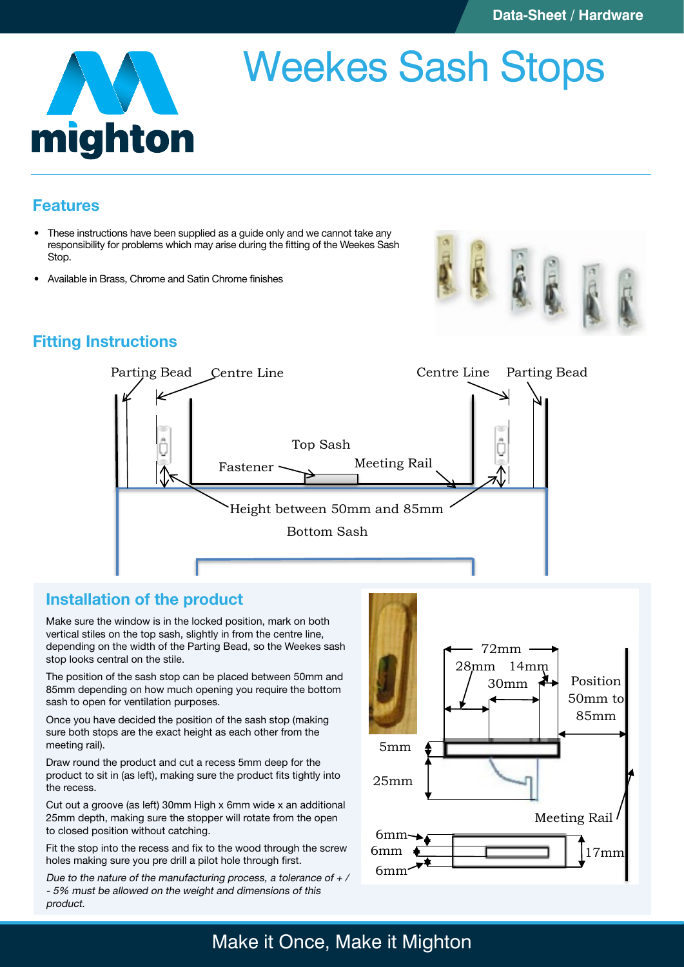

# Weekes Sash Stops

## Features

- These instructions have been supplied as a guide only and we cannot take any • These instructions have been supplied as a guide only and we cannot take any responsibility for problems which may arise during the fitting of the Weekes Sash Stop.
- • Available in Brass, Chrome and Satin Chrome finishes



# Fitting Instructions



**Fitting Instructions**

# Installation of the product

Make sure the window is in the locked position, mark on both vertical stiles on the top sash, slightly in from the centre line, depending on the width of the Parting Bead, so the Weekes sash stop looks central on the stile.

The position of the sash stop can be placed between 50mm and 85mm depending on how much opening you require the bottom sash to open for ventilation purposes.

Once you have decided the position of the sash stop (making Shoot you have abolided the position of the each other from the meeting rail).

Draw round the product and cut a recess 5mm deep for the product to sit in (as left), making sure the product fits tightly into the recess.

Cut out a groove (as left) 30mm High x 6mm wide x an additional 25mm depth, making sure the stopper will rotate from the open to closed position without catching. **Installation of the Product:**

Fit the stop into the recess and fix to the wood through the screw holes making sure you pre drill a pilot hole through first.

Due to the nature of the manufacturing process, a tolerance of  $\pm$  / - 5% must be allowed on the weight and dimensions of this<br>Preduct product.



weight and dimensions of this product.

**you contact a qualified trades person.**

#### Make it Once, Make it Mighton 50mm to Once, Make it Mighton sashed to open to open to open for ventilation 50mm and 85mm depending on how much opening you